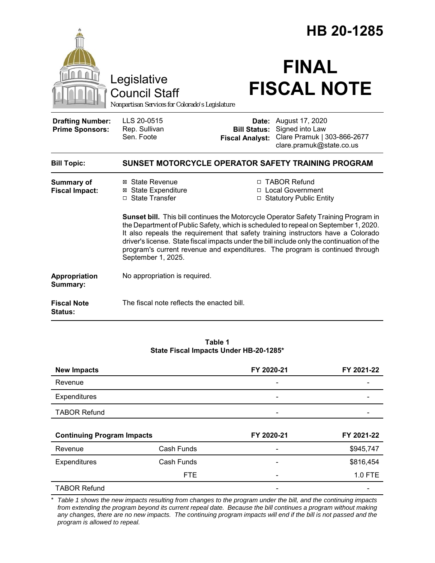|                                                   |                                                                                        |                        | HB 20-1285                                                                                                                                                                                                                                                                                                                                                                                                                                   |  |
|---------------------------------------------------|----------------------------------------------------------------------------------------|------------------------|----------------------------------------------------------------------------------------------------------------------------------------------------------------------------------------------------------------------------------------------------------------------------------------------------------------------------------------------------------------------------------------------------------------------------------------------|--|
|                                                   | Legislative<br><b>Council Staff</b><br>Nonpartisan Services for Colorado's Legislature |                        | <b>FINAL</b><br><b>FISCAL NOTE</b>                                                                                                                                                                                                                                                                                                                                                                                                           |  |
| <b>Drafting Number:</b><br><b>Prime Sponsors:</b> | LLS 20-0515<br>Rep. Sullivan<br>Sen. Foote                                             | <b>Fiscal Analyst:</b> | <b>Date:</b> August 17, 2020<br><b>Bill Status:</b> Signed into Law<br>Clare Pramuk   303-866-2677<br>clare.pramuk@state.co.us                                                                                                                                                                                                                                                                                                               |  |
| <b>Bill Topic:</b>                                | SUNSET MOTORCYCLE OPERATOR SAFETY TRAINING PROGRAM                                     |                        |                                                                                                                                                                                                                                                                                                                                                                                                                                              |  |
| <b>Summary of</b><br><b>Fiscal Impact:</b>        | ⊠ State Revenue<br><b>⊠</b> State Expenditure<br>□ State Transfer                      |                        | □ TABOR Refund<br>□ Local Government<br>□ Statutory Public Entity                                                                                                                                                                                                                                                                                                                                                                            |  |
|                                                   | September 1, 2025.                                                                     |                        | Sunset bill. This bill continues the Motorcycle Operator Safety Training Program in<br>the Department of Public Safety, which is scheduled to repeal on September 1, 2020.<br>It also repeals the requirement that safety training instructors have a Colorado<br>driver's license. State fiscal impacts under the bill include only the continuation of the<br>program's current revenue and expenditures. The program is continued through |  |
| Appropriation<br>Summary:                         | No appropriation is required.                                                          |                        |                                                                                                                                                                                                                                                                                                                                                                                                                                              |  |
| <b>Fiscal Note</b><br>Status:                     | The fiscal note reflects the enacted bill.                                             |                        |                                                                                                                                                                                                                                                                                                                                                                                                                                              |  |

**Table 1 State Fiscal Impacts Under HB-20-1285\***

| <b>New Impacts</b>                |            | FY 2020-21               | FY 2021-22 |
|-----------------------------------|------------|--------------------------|------------|
| Revenue                           |            | $\overline{\phantom{0}}$ |            |
| Expenditures                      |            | -                        |            |
| <b>TABOR Refund</b>               |            |                          |            |
| <b>Continuing Program Impacts</b> |            |                          |            |
|                                   |            | FY 2020-21               | FY 2021-22 |
| Revenue                           | Cash Funds | $\overline{\phantom{a}}$ | \$945,747  |
| Expenditures                      | Cash Funds | -                        | \$816,454  |
|                                   | <b>FTE</b> |                          | 1.0 FTE    |

\* *Table 1 shows the new impacts resulting from changes to the program under the bill, and the continuing impacts from extending the program beyond its current repeal date. Because the bill continues a program without making any changes, there are no new impacts. The continuing program impacts will end if the bill is not passed and the program is allowed to repeal.*